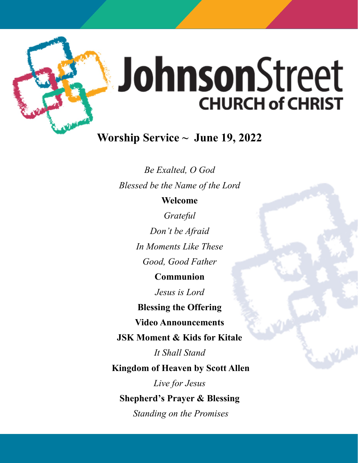

# JohnsonStreet **CHURCH of CHRIST**

# **Worship Service ~ June 19, 2022**

*Be Exalted, O God Blessed be the Name of the Lord*

## **Welcome**

*Grateful Don't be Afraid In Moments Like These Good, Good Father* **Communion** 

*Jesus is Lord*

**Blessing the Offering**

**Video Announcements**

**JSK Moment & Kids for Kitale**

*It Shall Stand*

**Kingdom of Heaven by Scott Allen**

*Live for Jesus* 

**Shepherd's Prayer & Blessing**

*Standing on the Promises*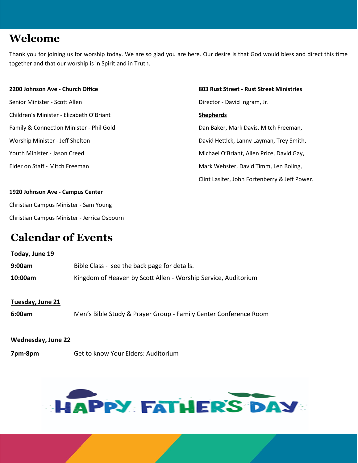# **Welcome**

Thank you for joining us for worship today. We are so glad you are here. Our desire is that God would bless and direct this time together and that our worship is in Spirit and in Truth.

Senior Minister - Scott Allen Director - David Ingram, Jr. Children's Minister - Elizabeth O'Briant **Shepherds** Family & Connection Minister - Phil Gold **Dan Baker, Mark Davis, Mitch Freeman**,

#### **2200 Johnson Ave - Church Office 803 Rust Street - Rust Street Ministries**

Worship Minister - Jeff Shelton David Hettick, Lanny Layman, Trey Smith, Youth Minister - Jason Creed Michael O'Briant, Allen Price, David Gay, Elder on Staff - Mitch Freeman Mark Webster, David Timm, Len Boling, Clint Lasiter, John Fortenberry & Jeff Power.

# **1920 Johnson Ave - Campus Center**

Christian Campus Minister - Sam Young Christian Campus Minister - Jerrica Osbourn

# **Calendar of Events**

| Today, June 19 |                                                                |
|----------------|----------------------------------------------------------------|
| 9:00am         | Bible Class - see the back page for details.                   |
| 10:00am        | Kingdom of Heaven by Scott Allen - Worship Service, Auditorium |

## **Tuesday, June 21**

**6:00am** Men's Bible Study & Prayer Group - Family Center Conference Room

#### **Wednesday, June 22**

**7pm-8pm** Get to know Your Elders: Auditorium

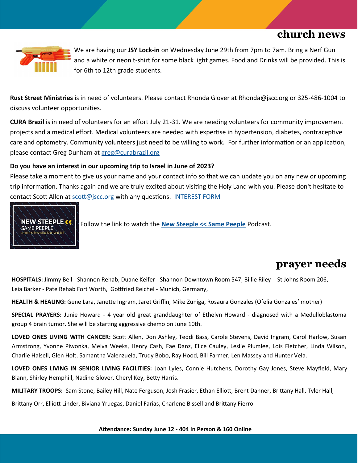# **church news**



We are having our **JSY Lock-in** on Wednesday June 29th from 7pm to 7am. Bring a Nerf Gun and a white or neon t-shirt for some black light games. Food and Drinks will be provided. This is for 6th to 12th grade students.

**Rust Street Ministries** is in need of volunteers. Please contact Rhonda Glover at Rhonda@jscc.org or 325-486-1004 to discuss volunteer opportunities.

**CURA Brazil** is in need of volunteers for an effort July 21-31. We are needing volunteers for community improvement projects and a medical effort. Medical volunteers are needed with expertise in hypertension, diabetes, contraceptive care and optometry. Community volunteers just need to be willing to work. For further information or an application, please contact Greg Dunham at [greg@curabrazil.org](mailto:greg@curabrazil.org)

## **Do you have an interest in our upcoming trip to Israel in June of 2023?**

Please take a moment to give us your name and your contact info so that we can update you on any new or upcoming trip information. Thanks again and we are truly excited about visiting the Holy Land with you. Please don't hesitate to contact Scott Allen at [scott@jscc.org](mailto:scott@jscc.org) with any questions. [INTEREST FORM](https://johnsonstreetchurch.us8.list-manage.com/track/click?u=686b7eff1b35437e0dce82465&id=5f245ce708&e=4beac448ca)



Follow the link to watch the **[New Steeple << Same Peeple](https://www.youtube.com/watch?v=i6S-MotkpXs&list=PLwE1lYRIY51SZ6SW5jVAsajtZ-LleyFff&index=1)** Podcast.

# **prayer needs**

**HOSPITALS:** Jimmy Bell - Shannon Rehab, Duane Keifer - Shannon Downtown Room 547, Billie Riley - St Johns Room 206, Leia Barker - Pate Rehab Fort Worth, Gottfried Reichel - Munich, Germany,

**HEALTH & HEALING:** Gene Lara, Janette Ingram, Jaret Griffin, Mike Zuniga, Rosaura Gonzales (Ofelia Gonzales' mother)

**SPECIAL PRAYERS:** Junie Howard - 4 year old great granddaughter of Ethelyn Howard - diagnosed with a Medulloblastoma group 4 brain tumor. She will be starting aggressive chemo on June 10th.

**LOVED ONES LIVING WITH CANCER:** Scott Allen, Don Ashley, Teddi Bass, Carole Stevens, David Ingram, Carol Harlow, Susan Armstrong, Yvonne Piwonka, Melva Weeks, Henry Cash, Fae Danz, Elice Cauley, Leslie Plumlee, Lois Fletcher, Linda Wilson, Charlie Halsell, Glen Holt, Samantha Valenzuela, Trudy Bobo, Ray Hood, Bill Farmer, Len Massey and Hunter Vela.

**LOVED ONES LIVING IN SENIOR LIVING FACILITIES:** Joan Lyles, Connie Hutchens, Dorothy Gay Jones, Steve Mayfield, Mary Blann, Shirley Hemphill, Nadine Glover, Cheryl Key, Betty Harris.

**MILITARY TROOPS:** Sam Stone, Bailey Hill, Nate Ferguson, Josh Frasier, Ethan Elliott, Brent Danner, Brittany Hall, Tyler Hall,

Brittany Orr, Elliott Linder, Biviana Yruegas, Daniel Farias, Charlene Bissell and Brittany Fierro

**Attendance: Sunday June 12 - 404 In Person & 160 Online**